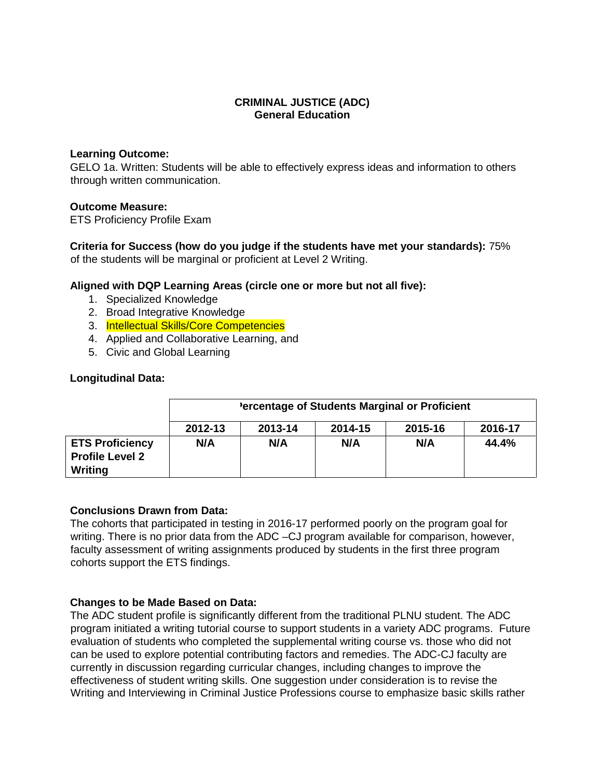### **CRIMINAL JUSTICE (ADC) General Education**

#### **Learning Outcome:**

GELO 1a. Written: Students will be able to effectively express ideas and information to others through written communication.

### **Outcome Measure:**

ETS Proficiency Profile Exam

**Criteria for Success (how do you judge if the students have met your standards):** 75% of the students will be marginal or proficient at Level 2 Writing.

### **Aligned with DQP Learning Areas (circle one or more but not all five):**

- 1. Specialized Knowledge
- 2. Broad Integrative Knowledge
- 3. Intellectual Skills/Core Competencies
- 4. Applied and Collaborative Learning, and
- 5. Civic and Global Learning

### **Longitudinal Data:**

|                                                  | 'ercentage of Students Marginal or Proficient |         |         |         |         |  |  |
|--------------------------------------------------|-----------------------------------------------|---------|---------|---------|---------|--|--|
|                                                  | 2012-13                                       | 2013-14 | 2014-15 | 2015-16 | 2016-17 |  |  |
| <b>ETS Proficiency</b><br><b>Profile Level 2</b> | N/A                                           | N/A     | N/A     | N/A     | 44.4%   |  |  |
| Writing                                          |                                               |         |         |         |         |  |  |

#### **Conclusions Drawn from Data:**

The cohorts that participated in testing in 2016-17 performed poorly on the program goal for writing. There is no prior data from the ADC –CJ program available for comparison, however, faculty assessment of writing assignments produced by students in the first three program cohorts support the ETS findings.

### **Changes to be Made Based on Data:**

The ADC student profile is significantly different from the traditional PLNU student. The ADC program initiated a writing tutorial course to support students in a variety ADC programs. Future evaluation of students who completed the supplemental writing course vs. those who did not can be used to explore potential contributing factors and remedies. The ADC-CJ faculty are currently in discussion regarding curricular changes, including changes to improve the effectiveness of student writing skills. One suggestion under consideration is to revise the Writing and Interviewing in Criminal Justice Professions course to emphasize basic skills rather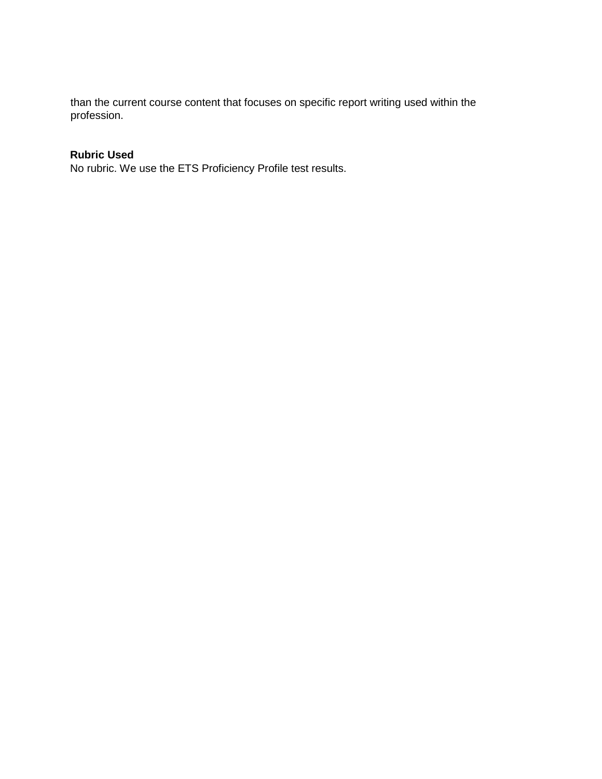than the current course content that focuses on specific report writing used within the profession.

# **Rubric Used**

No rubric. We use the ETS Proficiency Profile test results.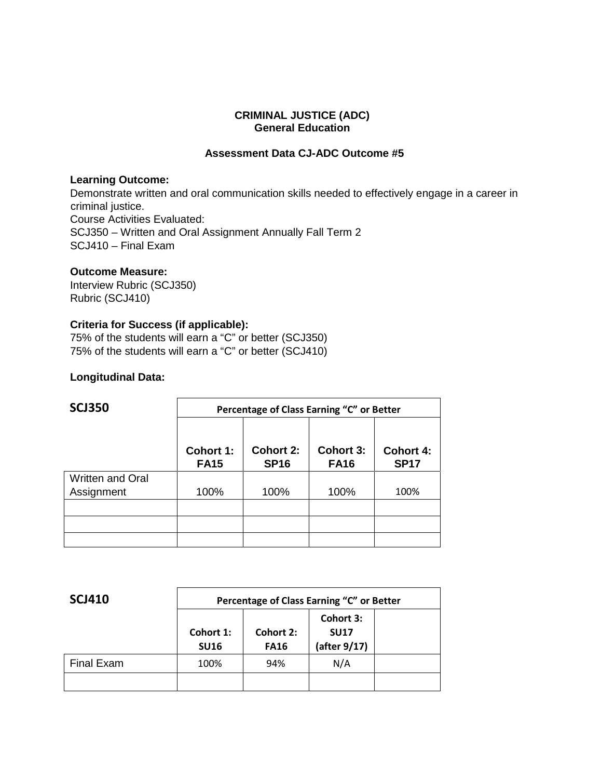#### **CRIMINAL JUSTICE (ADC) General Education**

## **Assessment Data CJ-ADC Outcome #5**

#### **Learning Outcome:**

Demonstrate written and oral communication skills needed to effectively engage in a career in criminal justice. Course Activities Evaluated: SCJ350 – Written and Oral Assignment Annually Fall Term 2 SCJ410 – Final Exam

## **Outcome Measure:**

Interview Rubric (SCJ350) Rubric (SCJ410)

## **Criteria for Success (if applicable):**

75% of the students will earn a "C" or better (SCJ350) 75% of the students will earn a "C" or better (SCJ410)

### **Longitudinal Data:**

| <b>SCJ350</b>           | Percentage of Class Earning "C" or Better |                                 |                          |                                 |  |  |
|-------------------------|-------------------------------------------|---------------------------------|--------------------------|---------------------------------|--|--|
|                         | <b>Cohort 1:</b><br><b>FA15</b>           | <b>Cohort 2:</b><br><b>SP16</b> | Cohort 3:<br><b>FA16</b> | <b>Cohort 4:</b><br><b>SP17</b> |  |  |
| <b>Written and Oral</b> |                                           |                                 |                          |                                 |  |  |
| Assignment              | 100%                                      | 100%                            | 100%                     | 100%                            |  |  |
|                         |                                           |                                 |                          |                                 |  |  |
|                         |                                           |                                 |                          |                                 |  |  |
|                         |                                           |                                 |                          |                                 |  |  |

| <b>SCJ410</b>     | Percentage of Class Earning "C" or Better |                          |                                          |  |  |
|-------------------|-------------------------------------------|--------------------------|------------------------------------------|--|--|
|                   | Cohort 1:<br><b>SU16</b>                  | Cohort 2:<br><b>FA16</b> | Cohort 3:<br><b>SU17</b><br>(after 9/17) |  |  |
| <b>Final Exam</b> | 100%                                      | 94%                      | N/A                                      |  |  |
|                   |                                           |                          |                                          |  |  |